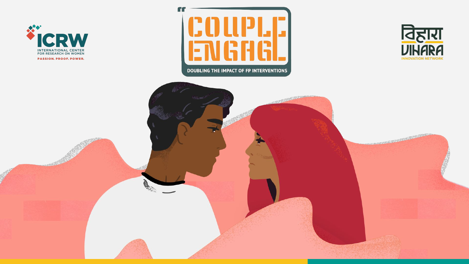







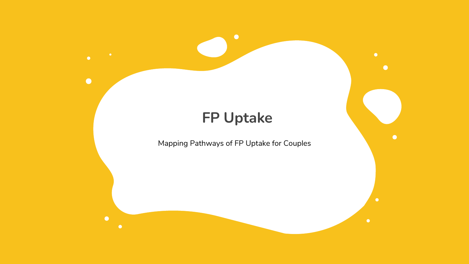

 $\bullet$ 

 $\bullet$ 

 $\bullet$ 

# **FP Uptake**

 $\bullet$ 

Mapping Pathways of FP Uptake for Couples

 $\bullet$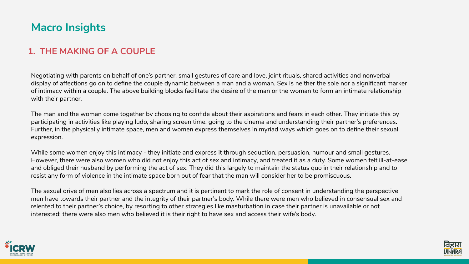### **1. THE MAKING OF A COUPLE**

Negotiating with parents on behalf of one's partner, small gestures of care and love, joint rituals, shared activities and nonverbal display of affections go on to define the couple dynamic between a man and a woman. Sex is neither the sole nor a significant marker of intimacy within a couple. The above building blocks facilitate the desire of the man or the woman to form an intimate relationship with their partner.

The man and the woman come together by choosing to confide about their aspirations and fears in each other. They initiate this by participating in activities like playing ludo, sharing screen time, going to the cinema and understanding their partner's preferences. Further, in the physically intimate space, men and women express themselves in myriad ways which goes on to define their sexual expression.

While some women enjoy this intimacy - they initiate and express it through seduction, persuasion, humour and small gestures. However, there were also women who did not enjoy this act of sex and intimacy, and treated it as a duty. Some women felt ill-at-ease and obliged their husband by performing the act of sex. They did this largely to maintain the status quo in their relationship and to resist any form of violence in the intimate space born out of fear that the man will consider her to be promiscuous.

The sexual drive of men also lies across a spectrum and it is pertinent to mark the role of consent in understanding the perspective men have towards their partner and the integrity of their partner's body. While there were men who believed in consensual sex and relented to their partner's choice, by resorting to other strategies like masturbation in case their partner is unavailable or not interested; there were also men who believed it is their right to have sex and access their wife's body.



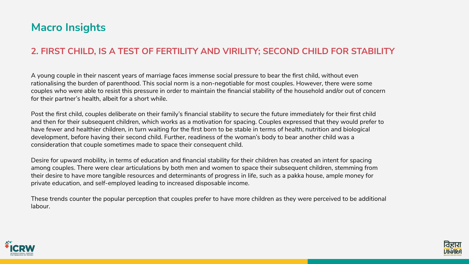### **2. FIRST CHILD, IS A TEST OF FERTILITY AND VIRILITY; SECOND CHILD FOR STABILITY**

A young couple in their nascent years of marriage faces immense social pressure to bear the first child, without even rationalising the burden of parenthood. This social norm is a non-negotiable for most couples. However, there were some couples who were able to resist this pressure in order to maintain the financial stability of the household and/or out of concern for their partner's health, albeit for a short while.

Post the first child, couples deliberate on their family's financial stability to secure the future immediately for their first child and then for their subsequent children, which works as a motivation for spacing. Couples expressed that they would prefer to have fewer and healthier children, in turn waiting for the first born to be stable in terms of health, nutrition and biological development, before having their second child. Further, readiness of the woman's body to bear another child was a consideration that couple sometimes made to space their consequent child.

Desire for upward mobility, in terms of education and financial stability for their children has created an intent for spacing among couples. There were clear articulations by both men and women to space their subsequent children, stemming from their desire to have more tangible resources and determinants of progress in life, such as a pakka house, ample money for private education, and self-employed leading to increased disposable income.

These trends counter the popular perception that couples prefer to have more children as they were perceived to be additional labour.



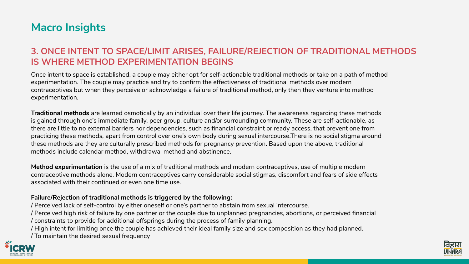### **3. ONCE INTENT TO SPACE/LIMIT ARISES, FAILURE/REJECTION OF TRADITIONAL METHODS IS WHERE METHOD EXPERIMENTATION BEGINS**

Once intent to space is established, a couple may either opt for self-actionable traditional methods or take on a path of method experimentation. The couple may practice and try to confirm the effectiveness of traditional methods over modern contraceptives but when they perceive or acknowledge a failure of traditional method, only then they venture into method experimentation.

**Traditional methods** are learned osmotically by an individual over their life journey. The awareness regarding these methods is gained through one's immediate family, peer group, culture and/or surrounding community. These are self-actionable, as there are little to no external barriers nor dependencies, such as financial constraint or ready access, that prevent one from practicing these methods, apart from control over one's own body during sexual intercourse.There is no social stigma around these methods are they are culturally prescribed methods for pregnancy prevention. Based upon the above, traditional methods include calendar method, withdrawal method and abstinence.

**Method experimentation** is the use of a mix of traditional methods and modern contraceptives, use of multiple modern contraceptive methods alone. Modern contraceptives carry considerable social stigmas, discomfort and fears of side effects associated with their continued or even one time use.

**Failure/Rejection of traditional methods is triggered by the following:** / Perceived lack of self-control by either oneself or one's partner to abstain from sexual intercourse. / Perceived high risk of failure by one partner or the couple due to unplanned pregnancies, abortions, or perceived financial / constraints to provide for additional offsprings during the process of family planning. / High intent for limiting once the couple has achieved their ideal family size and sex composition as they had planned. / To maintain the desired sexual frequency



- 
- 
- 

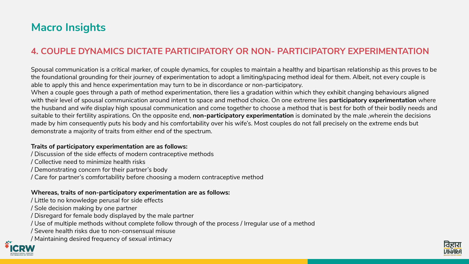## **4. COUPLE DYNAMICS DICTATE PARTICIPATORY OR NON- PARTICIPATORY EXPERIMENTATION**

Spousal communication is a critical marker, of couple dynamics, for couples to maintain a healthy and bipartisan relationship as this proves to be the foundational grounding for their journey of experimentation to adopt a limiting/spacing method ideal for them. Albeit, not every couple is able to apply this and hence experimentation may turn to be in discordance or non-participatory. When a couple goes through a path of method experimentation, there lies a gradation within which they exhibit changing behaviours aligned with their level of spousal communication around intent to space and method choice. On one extreme lies **participatory experimentation** where the husband and wife display high spousal communication and come together to choose a method that is best for both of their bodily needs and suitable to their fertility aspirations. On the opposite end, **non-participatory experimentation** is dominated by the male ,wherein the decisions made by him consequently puts his body and his comfortability over his wife's. Most couples do not fall precisely on the extreme ends but demonstrate a majority of traits from either end of the spectrum.

### **Traits of participatory experimentation are as follows:**

- / Discussion of the side effects of modern contraceptive methods / Collective need to minimize health risks
- / Demonstrating concern for their partner's body
- / Care for partner's comfortability before choosing a modern contraceptive method

### **Whereas, traits of non-participatory experimentation are as follows:**

- / Little to no knowledge perusal for side effects
- / Sole decision making by one partner
- / Disregard for female body displayed by the male partner
- / Use of multiple methods without complete follow through of the process / Irregular use of a method
- / Severe health risks due to non-consensual misuse
- / Maintaining desired frequency of sexual intimacy



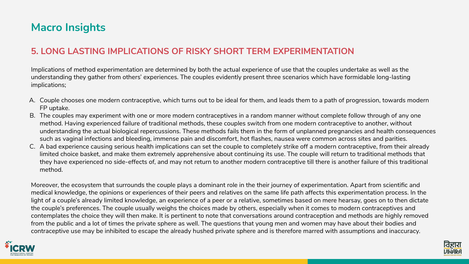### **5. LONG LASTING IMPLICATIONS OF RISKY SHORT TERM EXPERIMENTATION**

Implications of method experimentation are determined by both the actual experience of use that the couples undertake as well as the understanding they gather from others' experiences. The couples evidently present three scenarios which have formidable long-lasting implications;

A. Couple chooses one modern contraceptive, which turns out to be ideal for them, and leads them to a path of progression, towards modern

- FP uptake.
- 
- method.

B. The couples may experiment with one or more modern contraceptives in a random manner without complete follow through of any one method. Having experienced failure of traditional methods, these couples switch from one modern contraceptive to another, without understanding the actual biological repercussions. These methods fails them in the form of unplanned pregnancies and health consequences such as vaginal infections and bleeding, immense pain and discomfort, hot flashes, nausea were common across sites and parities. C. A bad experience causing serious health implications can set the couple to completely strike off a modern contraceptive, from their already limited choice basket, and make them extremely apprehensive about continuing its use. The couple will return to traditional methods that they have experienced no side-effects of, and may not return to another modern contraceptive till there is another failure of this traditional



Moreover, the ecosystem that surrounds the couple plays a dominant role in the their journey of experimentation. Apart from scientific and medical knowledge, the opinions or experiences of their peers and relatives on the same life path affects this experimentation process. In the light of a couple's already limited knowledge, an experience of a peer or a relative, sometimes based on mere hearsay, goes on to then dictate the couple's preferences. The couple usually weighs the choices made by others, especially when it comes to modern contraceptives and contemplates the choice they will then make. It is pertinent to note that conversations around contraception and methods are highly removed from the public and a lot of times the private sphere as well. The questions that young men and women may have about their bodies and contraceptive use may be inhibited to escape the already hushed private sphere and is therefore marred with assumptions and inaccuracy.

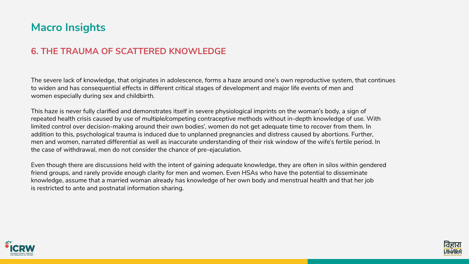### **6. THE TRAUMA OF SCATTERED KNOWLEDGE**

The severe lack of knowledge, that originates in adolescence, forms a haze around one's own reproductive system, that continues to widen and has consequential effects in different critical stages of development and major life events of men and women especially during sex and childbirth.

This haze is never fully clarified and demonstrates itself in severe physiological imprints on the woman's body, a sign of repeated health crisis caused by use of multiple/competing contraceptive methods without in-depth knowledge of use. With limited control over decision-making around their own bodies', women do not get adequate time to recover from them. In addition to this, psychological trauma is induced due to unplanned pregnancies and distress caused by abortions. Further, men and women, narrated differential as well as inaccurate understanding of their risk window of the wife's fertile period. In the case of withdrawal, men do not consider the chance of pre-ejaculation.

Even though there are discussions held with the intent of gaining adequate knowledge, they are often in silos within gendered friend groups, and rarely provide enough clarity for men and women. Even HSAs who have the potential to disseminate knowledge, assume that a married woman already has knowledge of her own body and menstrual health and that her job is restricted to ante and postnatal information sharing.



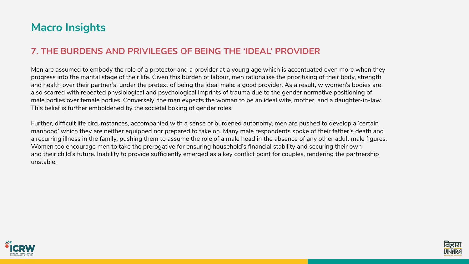### **7. THE BURDENS AND PRIVILEGES OF BEING THE 'IDEAL' PROVIDER**

Men are assumed to embody the role of a protector and a provider at a young age which is accentuated even more when they progress into the marital stage of their life. Given this burden of labour, men rationalise the prioritising of their body, strength and health over their partner's, under the pretext of being the ideal male: a good provider. As a result, w women's bodies are also scarred with repeated physiological and psychological imprints of trauma due to the gender normative positioning of male bodies over female bodies. Conversely, the man expects the woman to be an ideal wife, mother, and a daughter-in-law. This belief is further emboldened by the societal boxing of gender roles.

Further, difficult life circumstances, accompanied with a sense of burdened autonomy, men are pushed to develop a 'certain manhood' which they are neither equipped nor prepared to take on. Many male respondents spoke of their father's death and a recurring illness in the family, pushing them to assume the role of a male head in the absence of any other adult male figures. Women too encourage men to take the prerogative for ensuring household's financial stability and securing their own and their child's future. Inability to provide sufficiently emerged as a key conflict point for couples, rendering the partnership unstable.